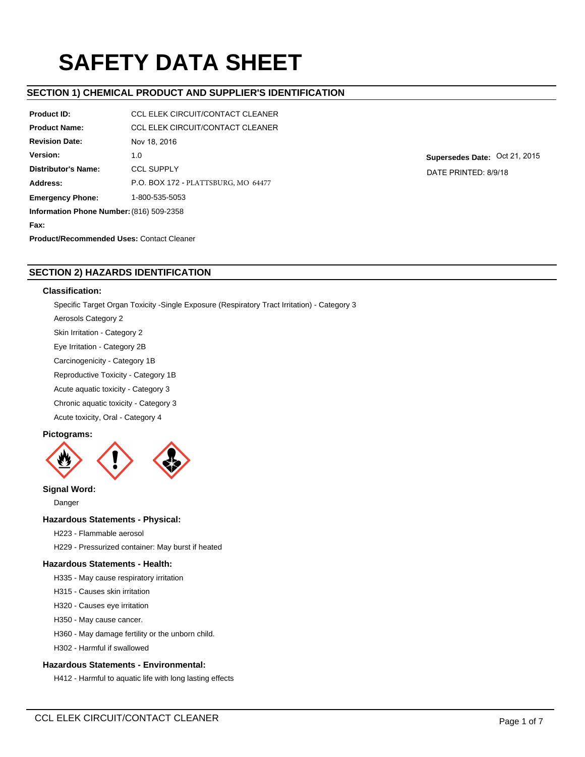# **SAFETY DATA SHEET**

# **SECTION 1) CHEMICAL PRODUCT AND SUPPLIER'S IDENTIFICATION**

| <b>Product ID:</b>                       | <b>CCL ELEK CIRCUIT/CONTACT CLEANER</b> |
|------------------------------------------|-----------------------------------------|
| <b>Product Name:</b>                     | <b>CCL ELEK CIRCUIT/CONTACT CLEANER</b> |
| <b>Revision Date:</b>                    | Nov 18, 2016                            |
| Version:                                 | 1.0                                     |
| <b>Distributor's Name:</b>               | <b>CCL SUPPLY</b>                       |
| Address:                                 | P.O. BOX 172 - PLATTSBURG, MO 64477     |
| <b>Emergency Phone:</b>                  | 1-800-535-5053                          |
| Information Phone Number: (816) 509-2358 |                                         |
| Fax:                                     |                                         |

**Supersedes Date:** Oct 21, 2015 DATE PRINTED: 8/9/18

**Product/Recommended Uses:** Contact Cleaner

# **SECTION 2) HAZARDS IDENTIFICATION**

## **Classification:**

Specific Target Organ Toxicity -Single Exposure (Respiratory Tract Irritation) - Category 3 Aerosols Category 2 Skin Irritation - Category 2

Eye Irritation - Category 2B

Carcinogenicity - Category 1B

Reproductive Toxicity - Category 1B

Acute aquatic toxicity - Category 3

Chronic aquatic toxicity - Category 3

Acute toxicity, Oral - Category 4

# **Pictograms:**



**Signal Word:**

Danger

# **Hazardous Statements - Physical:**

H223 - Flammable aerosol

H229 - Pressurized container: May burst if heated

# **Hazardous Statements - Health:**

H335 - May cause respiratory irritation

H315 - Causes skin irritation

H320 - Causes eye irritation

H350 - May cause cancer.

H360 - May damage fertility or the unborn child.

H302 - Harmful if swallowed

# **Hazardous Statements - Environmental:**

H412 - Harmful to aquatic life with long lasting effects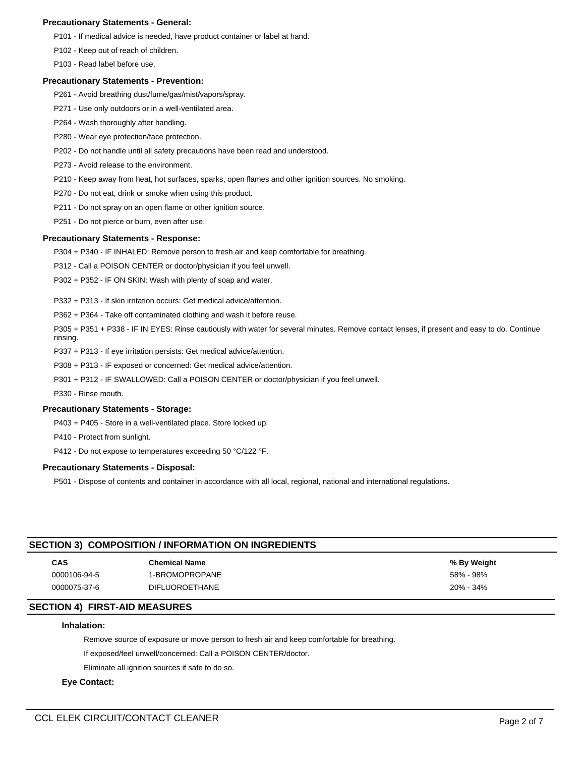## **Precautionary Statements - General:**

P101 - If medical advice is needed, have product container or label at hand.

P102 - Keep out of reach of children.

P103 - Read label before use.

## **Precautionary Statements - Prevention:**

- P261 Avoid breathing dust/fume/gas/mist/vapors/spray.
- P271 Use only outdoors or in a well-ventilated area.
- P264 Wash thoroughly after handling.
- P280 Wear eye protection/face protection.
- P202 Do not handle until all safety precautions have been read and understood.
- P273 Avoid release to the environment.
- P210 Keep away from heat, hot surfaces, sparks, open flames and other ignition sources. No smoking.
- P270 Do not eat, drink or smoke when using this product.
- P211 Do not spray on an open flame or other ignition source.
- P251 Do not pierce or burn, even after use.

## **Precautionary Statements - Response:**

P304 + P340 - IF INHALED: Remove person to fresh air and keep comfortable for breathing.

P312 - Call a POISON CENTER or doctor/physician if you feel unwell.

P302 + P352 - IF ON SKIN: Wash with plenty of soap and water.

P332 + P313 - If skin irritation occurs: Get medical advice/attention.

P362 + P364 - Take off contaminated clothing and wash it before reuse.

P305 + P351 + P338 - IF IN EYES: Rinse cautiously with water for several minutes. Remove contact lenses, if present and easy to do. Continue rinsing.

- P337 + P313 If eye irritation persists: Get medical advice/attention.
- P308 + P313 IF exposed or concerned: Get medical advice/attention.
- P301 + P312 IF SWALLOWED: Call a POISON CENTER or doctor/physician if you feel unwell.

P330 - Rinse mouth.

## **Precautionary Statements - Storage:**

P403 + P405 - Store in a well-ventilated place. Store locked up.

P410 - Protect from sunlight.

P412 - Do not expose to temperatures exceeding 50 °C/122 °F.

## **Precautionary Statements - Disposal:**

P501 - Dispose of contents and container in accordance with all local, regional, national and international regulations.

## **SECTION 3) COMPOSITION / INFORMATION ON INGREDIENTS**

| CAS          | <b>Chemical Name</b>  | % By Weight |
|--------------|-----------------------|-------------|
| 0000106-94-5 | 1-BROMOPROPANE        | 58% - 98%   |
| 0000075-37-6 | <b>DIFLUOROETHANE</b> | 20% - 34%   |

## **SECTION 4) FIRST-AID MEASURES**

# **Inhalation:**

Remove source of exposure or move person to fresh air and keep comfortable for breathing.

If exposed/feel unwell/concerned: Call a POISON CENTER/doctor.

Eliminate all ignition sources if safe to do so.

## **Eye Contact:**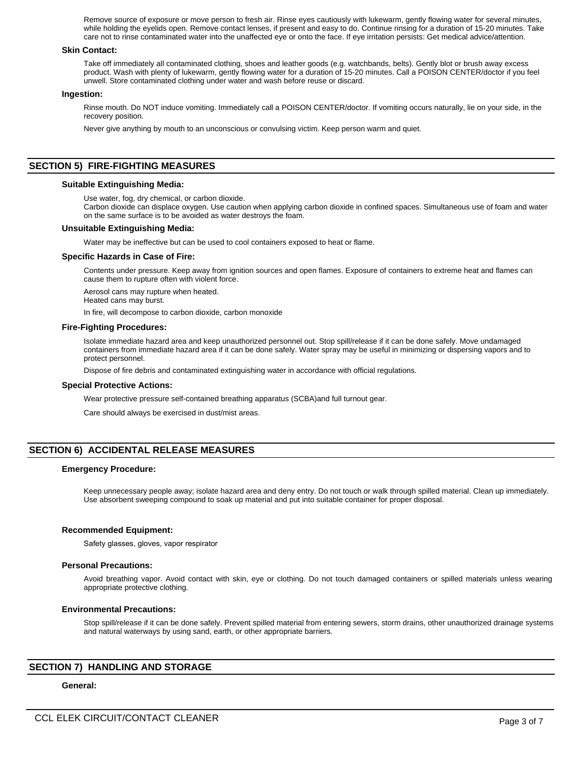Remove source of exposure or move person to fresh air. Rinse eyes cautiously with lukewarm, gently flowing water for several minutes, while holding the eyelids open. Remove contact lenses, if present and easy to do. Continue rinsing for a duration of 15-20 minutes. Take care not to rinse contaminated water into the unaffected eye or onto the face. If eye irritation persists: Get medical advice/attention.

## **Skin Contact:**

Take off immediately all contaminated clothing, shoes and leather goods (e.g. watchbands, belts). Gently blot or brush away excess product. Wash with plenty of lukewarm, gently flowing water for a duration of 15-20 minutes. Call a POISON CENTER/doctor if you feel unwell. Store contaminated clothing under water and wash before reuse or discard.

## **Ingestion:**

Rinse mouth. Do NOT induce vomiting. Immediately call a POISON CENTER/doctor. If vomiting occurs naturally, lie on your side, in the recovery position.

Never give anything by mouth to an unconscious or convulsing victim. Keep person warm and quiet.

## **SECTION 5) FIRE-FIGHTING MEASURES**

## **Suitable Extinguishing Media:**

Use water, fog, dry chemical, or carbon dioxide.

Carbon dioxide can displace oxygen. Use caution when applying carbon dioxide in confined spaces. Simultaneous use of foam and water on the same surface is to be avoided as water destroys the foam.

## **Unsuitable Extinguishing Media:**

Water may be ineffective but can be used to cool containers exposed to heat or flame.

#### **Specific Hazards in Case of Fire:**

Contents under pressure. Keep away from ignition sources and open flames. Exposure of containers to extreme heat and flames can cause them to rupture often with violent force.

Aerosol cans may rupture when heated.

Heated cans may burst.

In fire, will decompose to carbon dioxide, carbon monoxide

#### **Fire-Fighting Procedures:**

Isolate immediate hazard area and keep unauthorized personnel out. Stop spill/release if it can be done safely. Move undamaged containers from immediate hazard area if it can be done safely. Water spray may be useful in minimizing or dispersing vapors and to protect personnel.

Dispose of fire debris and contaminated extinguishing water in accordance with official regulations.

#### **Special Protective Actions:**

Wear protective pressure self-contained breathing apparatus (SCBA)and full turnout gear.

Care should always be exercised in dust/mist areas.

## **SECTION 6) ACCIDENTAL RELEASE MEASURES**

## **Emergency Procedure:**

Keep unnecessary people away; isolate hazard area and deny entry. Do not touch or walk through spilled material. Clean up immediately. Use absorbent sweeping compound to soak up material and put into suitable container for proper disposal.

## **Recommended Equipment:**

Safety glasses, gloves, vapor respirator

#### **Personal Precautions:**

Avoid breathing vapor. Avoid contact with skin, eye or clothing. Do not touch damaged containers or spilled materials unless wearing appropriate protective clothing.

## **Environmental Precautions:**

Stop spill/release if it can be done safely. Prevent spilled material from entering sewers, storm drains, other unauthorized drainage systems and natural waterways by using sand, earth, or other appropriate barriers.

## **SECTION 7) HANDLING AND STORAGE**

## **General:**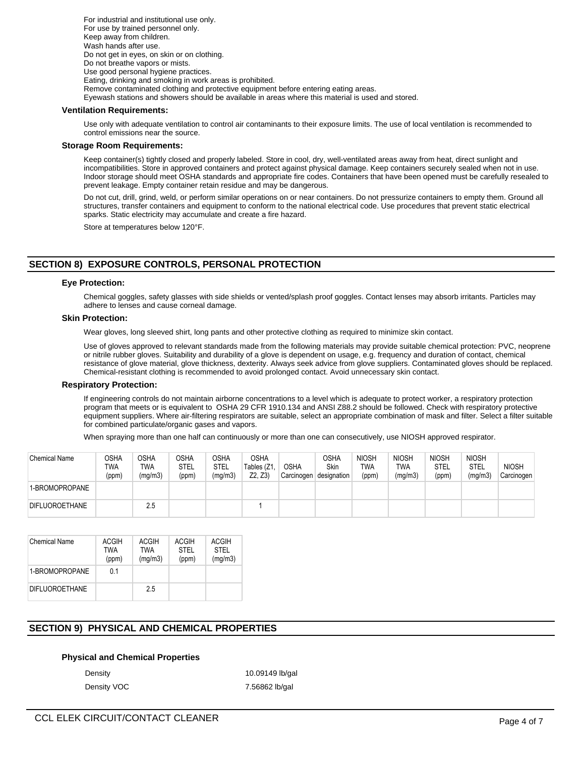For industrial and institutional use only. For use by trained personnel only. Keep away from children. Wash hands after use. Do not get in eyes, on skin or on clothing. Do not breathe vapors or mists. Use good personal hygiene practices. Eating, drinking and smoking in work areas is prohibited. Remove contaminated clothing and protective equipment before entering eating areas. Eyewash stations and showers should be available in areas where this material is used and stored.

## **Ventilation Requirements:**

Use only with adequate ventilation to control air contaminants to their exposure limits. The use of local ventilation is recommended to control emissions near the source.

## **Storage Room Requirements:**

Keep container(s) tightly closed and properly labeled. Store in cool, dry, well-ventilated areas away from heat, direct sunlight and incompatibilities. Store in approved containers and protect against physical damage. Keep containers securely sealed when not in use. Indoor storage should meet OSHA standards and appropriate fire codes. Containers that have been opened must be carefully resealed to prevent leakage. Empty container retain residue and may be dangerous.

Do not cut, drill, grind, weld, or perform similar operations on or near containers. Do not pressurize containers to empty them. Ground all structures, transfer containers and equipment to conform to the national electrical code. Use procedures that prevent static electrical sparks. Static electricity may accumulate and create a fire hazard.

Store at temperatures below 120°F.

# **SECTION 8) EXPOSURE CONTROLS, PERSONAL PROTECTION**

## **Eye Protection:**

Chemical goggles, safety glasses with side shields or vented/splash proof goggles. Contact lenses may absorb irritants. Particles may adhere to lenses and cause corneal damage.

## **Skin Protection:**

Wear gloves, long sleeved shirt, long pants and other protective clothing as required to minimize skin contact.

Use of gloves approved to relevant standards made from the following materials may provide suitable chemical protection: PVC, neoprene or nitrile rubber gloves. Suitability and durability of a glove is dependent on usage, e.g. frequency and duration of contact, chemical resistance of glove material, glove thickness, dexterity. Always seek advice from glove suppliers. Contaminated gloves should be replaced. Chemical-resistant clothing is recommended to avoid prolonged contact. Avoid unnecessary skin contact.

#### **Respiratory Protection:**

If engineering controls do not maintain airborne concentrations to a level which is adequate to protect worker, a respiratory protection program that meets or is equivalent to OSHA 29 CFR 1910.134 and ANSI Z88.2 should be followed. Check with respiratory protective equipment suppliers. Where air-filtering respirators are suitable, select an appropriate combination of mask and filter. Select a filter suitable for combined particulate/organic gases and vapors.

When spraying more than one half can continuously or more than one can consecutively, use NIOSH approved respirator.

| <b>Chemical Name</b>  | OSHA<br>TWA<br>(ppm) | OSHA<br>TWA<br>(mg/m3) | <b>OSHA</b><br>STEL<br>(ppm) | OSHA<br>STEL<br>(mg/m3) | OSHA<br>Tables (Z1<br>Z2, Z3) | OSHA<br>Carcinogen | <b>OSHA</b><br>Skin<br>designation | <b>NIOSH</b><br>TWA<br>(ppm) | <b>NIOSH</b><br>TWA<br>(mg/m3) | <b>NIOSH</b><br>STEL<br>(ppm) | <b>NIOSH</b><br>STEL<br>(mg/m3) | <b>NIOSH</b><br>Carcinogen |
|-----------------------|----------------------|------------------------|------------------------------|-------------------------|-------------------------------|--------------------|------------------------------------|------------------------------|--------------------------------|-------------------------------|---------------------------------|----------------------------|
| 1-BROMOPROPANE        |                      |                        |                              |                         |                               |                    |                                    |                              |                                |                               |                                 |                            |
| <b>DIFLUOROETHANE</b> |                      | 2.5                    |                              |                         |                               |                    |                                    |                              |                                |                               |                                 |                            |

| <b>Chemical Name</b>  | <b>ACGIH</b><br>TWA<br>(ppm) | ACGIH<br>TWA<br>(mg/m3) | <b>ACGIH</b><br><b>STEL</b><br>(ppm) | ACGIH<br><b>STEL</b><br>(mg/m3) |
|-----------------------|------------------------------|-------------------------|--------------------------------------|---------------------------------|
| 1-BROMOPROPANE        | 01                           |                         |                                      |                                 |
| <b>DIFLUOROETHANE</b> |                              | 25                      |                                      |                                 |

# **SECTION 9) PHYSICAL AND CHEMICAL PROPERTIES**

## **Physical and Chemical Properties**

Density **10.09149 lb/gal** Density VOC 7.56862 lb/gal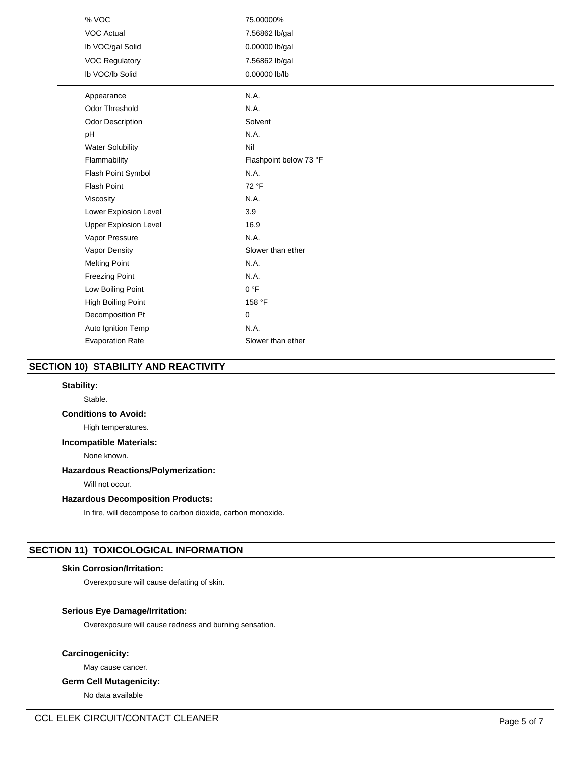| % VOC                        | 75.00000%              |
|------------------------------|------------------------|
| <b>VOC Actual</b>            | 7.56862 lb/gal         |
| Ib VOC/gal Solid             | 0.00000 lb/gal         |
| <b>VOC Regulatory</b>        | 7.56862 lb/gal         |
| Ib VOC/Ib Solid              | 0.00000 lb/lb          |
| Appearance                   | N.A.                   |
| <b>Odor Threshold</b>        | N.A.                   |
| Odor Description             | Solvent                |
| pH                           | N.A.                   |
| <b>Water Solubility</b>      | Nil                    |
| Flammability                 | Flashpoint below 73 °F |
| Flash Point Symbol           | N.A.                   |
| <b>Flash Point</b>           | 72 °F                  |
| Viscosity                    | N.A.                   |
| Lower Explosion Level        | 3.9                    |
| <b>Upper Explosion Level</b> | 16.9                   |
| Vapor Pressure               | N.A.                   |
| Vapor Density                | Slower than ether      |
| <b>Melting Point</b>         | N.A.                   |
| <b>Freezing Point</b>        | N.A.                   |
| Low Boiling Point            | 0 °F                   |
| <b>High Boiling Point</b>    | 158 °F                 |
| Decomposition Pt             | 0                      |
| Auto Ignition Temp           | N.A.                   |
| <b>Evaporation Rate</b>      | Slower than ether      |

# **SECTION 10) STABILITY AND REACTIVITY**

## **Stability:**

Stable.

# **Conditions to Avoid:**

High temperatures.

# **Incompatible Materials:**

None known.

# **Hazardous Reactions/Polymerization:**

Will not occur.

## **Hazardous Decomposition Products:**

In fire, will decompose to carbon dioxide, carbon monoxide.

# **SECTION 11) TOXICOLOGICAL INFORMATION**

# **Skin Corrosion/Irritation:**

Overexposure will cause defatting of skin.

# **Serious Eye Damage/Irritation:**

Overexposure will cause redness and burning sensation.

# **Carcinogenicity:**

May cause cancer.

## **Germ Cell Mutagenicity:**

No data available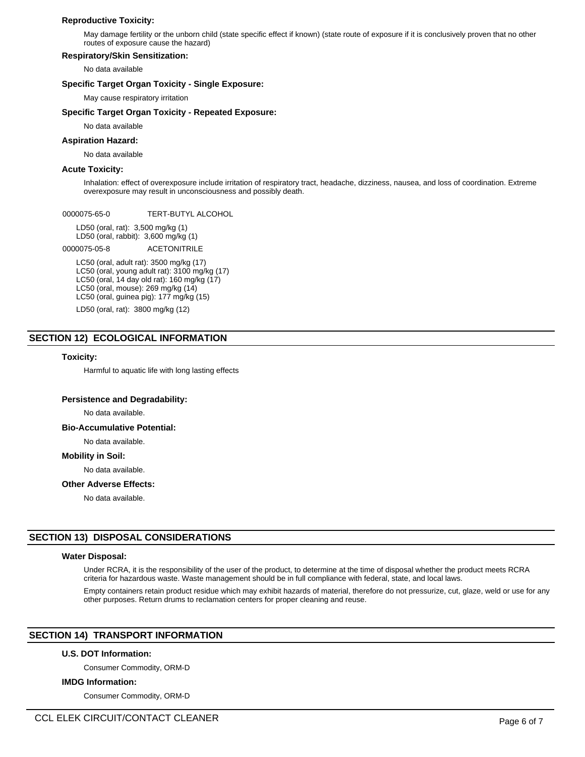## **Reproductive Toxicity:**

May damage fertility or the unborn child (state specific effect if known) (state route of exposure if it is conclusively proven that no other routes of exposure cause the hazard)

## **Respiratory/Skin Sensitization:**

No data available

## **Specific Target Organ Toxicity - Single Exposure:**

May cause respiratory irritation

## **Specific Target Organ Toxicity - Repeated Exposure:**

No data available

## **Aspiration Hazard:**

No data available

## **Acute Toxicity:**

Inhalation: effect of overexposure include irritation of respiratory tract, headache, dizziness, nausea, and loss of coordination. Extreme overexposure may result in unconsciousness and possibly death.

0000075-65-0 TERT-BUTYL ALCOHOL

LD50 (oral, rat): 3,500 mg/kg (1) LD50 (oral, rabbit): 3,600 mg/kg (1)

0000075-05-8 ACETONITRILE

LC50 (oral, adult rat): 3500 mg/kg (17) LC50 (oral, young adult rat): 3100 mg/kg (17) LC50 (oral, 14 day old rat): 160 mg/kg (17) LC50 (oral, mouse): 269 mg/kg (14) LC50 (oral, guinea pig): 177 mg/kg (15)

LD50 (oral, rat): 3800 mg/kg (12)

# **SECTION 12) ECOLOGICAL INFORMATION**

#### **Toxicity:**

Harmful to aquatic life with long lasting effects

## **Persistence and Degradability:**

No data available.

#### **Bio-Accumulative Potential:**

No data available.

## **Mobility in Soil:**

No data available.

## **Other Adverse Effects:**

No data available.

## **SECTION 13) DISPOSAL CONSIDERATIONS**

#### **Water Disposal:**

Under RCRA, it is the responsibility of the user of the product, to determine at the time of disposal whether the product meets RCRA criteria for hazardous waste. Waste management should be in full compliance with federal, state, and local laws.

Empty containers retain product residue which may exhibit hazards of material, therefore do not pressurize, cut, glaze, weld or use for any other purposes. Return drums to reclamation centers for proper cleaning and reuse.

# **SECTION 14) TRANSPORT INFORMATION**

#### **U.S. DOT Information:**

Consumer Commodity, ORM-D

#### **IMDG Information:**

Consumer Commodity, ORM-D